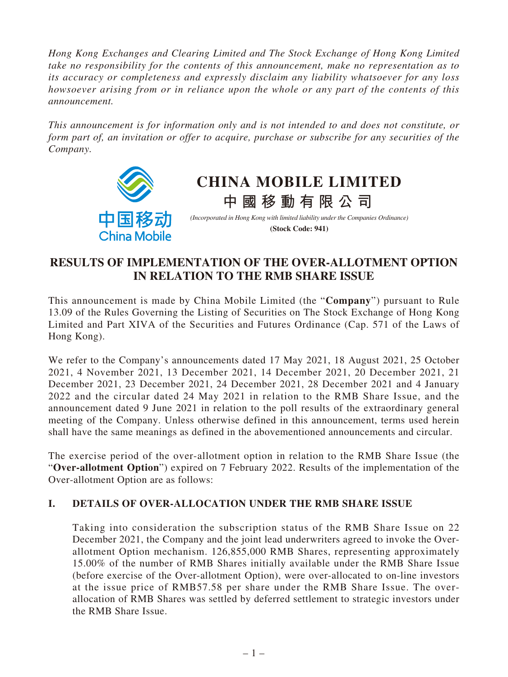*Hong Kong Exchanges and Clearing Limited and The Stock Exchange of Hong Kong Limited take no responsibility for the contents of this announcement, make no representation as to its accuracy or completeness and expressly disclaim any liability whatsoever for any loss howsoever arising from or in reliance upon the whole or any part of the contents of this announcement.*

*This announcement is for information only and is not intended to and does not constitute, or form part of, an invitation or offer to acquire, purchase or subscribe for any securities of the Company.*



# **RESULTS OF IMPLEMENTATION OF THE OVER-ALLOTMENT OPTION IN RELATION TO THE RMB SHARE ISSUE**

This announcement is made by China Mobile Limited (the "**Company**") pursuant to Rule 13.09 of the Rules Governing the Listing of Securities on The Stock Exchange of Hong Kong Limited and Part XIVA of the Securities and Futures Ordinance (Cap. 571 of the Laws of Hong Kong).

We refer to the Company's announcements dated 17 May 2021, 18 August 2021, 25 October 2021, 4 November 2021, 13 December 2021, 14 December 2021, 20 December 2021, 21 December 2021, 23 December 2021, 24 December 2021, 28 December 2021 and 4 January 2022 and the circular dated 24 May 2021 in relation to the RMB Share Issue, and the announcement dated 9 June 2021 in relation to the poll results of the extraordinary general meeting of the Company. Unless otherwise defined in this announcement, terms used herein shall have the same meanings as defined in the abovementioned announcements and circular.

The exercise period of the over-allotment option in relation to the RMB Share Issue (the "**Over-allotment Option**") expired on 7 February 2022. Results of the implementation of the Over-allotment Option are as follows:

# **I. DETAILS OF OVER-ALLOCATION UNDER THE RMB SHARE ISSUE**

Taking into consideration the subscription status of the RMB Share Issue on 22 December 2021, the Company and the joint lead underwriters agreed to invoke the Overallotment Option mechanism. 126,855,000 RMB Shares, representing approximately 15.00% of the number of RMB Shares initially available under the RMB Share Issue (before exercise of the Over-allotment Option), were over-allocated to on-line investors at the issue price of RMB57.58 per share under the RMB Share Issue. The overallocation of RMB Shares was settled by deferred settlement to strategic investors under the RMB Share Issue.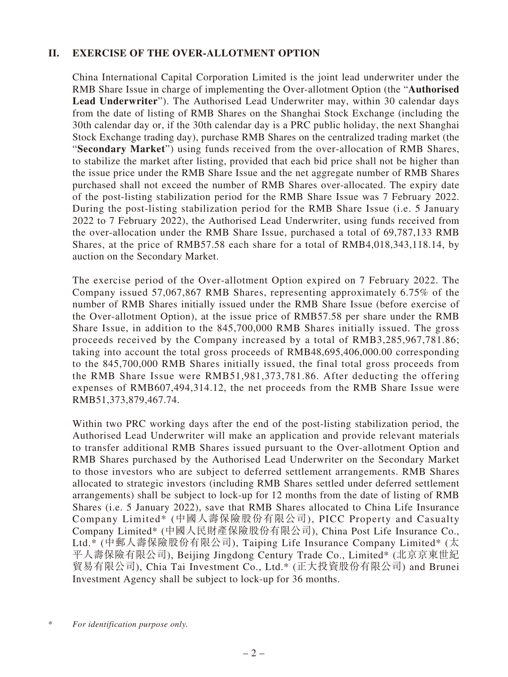# **II. EXERCISE OF THE OVER-ALLOTMENT OPTION**

China International Capital Corporation Limited is the joint lead underwriter under the RMB Share Issue in charge of implementing the Over-allotment Option (the "**Authorised Lead Underwriter**"). The Authorised Lead Underwriter may, within 30 calendar days from the date of listing of RMB Shares on the Shanghai Stock Exchange (including the 30th calendar day or, if the 30th calendar day is a PRC public holiday, the next Shanghai Stock Exchange trading day), purchase RMB Shares on the centralized trading market (the "**Secondary Market**") using funds received from the over-allocation of RMB Shares, to stabilize the market after listing, provided that each bid price shall not be higher than the issue price under the RMB Share Issue and the net aggregate number of RMB Shares purchased shall not exceed the number of RMB Shares over-allocated. The expiry date of the post-listing stabilization period for the RMB Share Issue was 7 February 2022. During the post-listing stabilization period for the RMB Share Issue (i.e. 5 January 2022 to 7 February 2022), the Authorised Lead Underwriter, using funds received from the over-allocation under the RMB Share Issue, purchased a total of 69,787,133 RMB Shares, at the price of RMB57.58 each share for a total of RMB4,018,343,118.14, by auction on the Secondary Market.

The exercise period of the Over-allotment Option expired on 7 February 2022. The Company issued 57,067,867 RMB Shares, representing approximately 6.75% of the number of RMB Shares initially issued under the RMB Share Issue (before exercise of the Over-allotment Option), at the issue price of RMB57.58 per share under the RMB Share Issue, in addition to the 845,700,000 RMB Shares initially issued. The gross proceeds received by the Company increased by a total of RMB3,285,967,781.86; taking into account the total gross proceeds of RMB48,695,406,000.00 corresponding to the 845,700,000 RMB Shares initially issued, the final total gross proceeds from the RMB Share Issue were RMB51,981,373,781.86. After deducting the offering expenses of RMB607,494,314.12, the net proceeds from the RMB Share Issue were RMB51,373,879,467.74.

Within two PRC working days after the end of the post-listing stabilization period, the Authorised Lead Underwriter will make an application and provide relevant materials to transfer additional RMB Shares issued pursuant to the Over-allotment Option and RMB Shares purchased by the Authorised Lead Underwriter on the Secondary Market to those investors who are subject to deferred settlement arrangements. RMB Shares allocated to strategic investors (including RMB Shares settled under deferred settlement arrangements) shall be subject to lock-up for 12 months from the date of listing of RMB Shares (i.e. 5 January 2022), save that RMB Shares allocated to China Life Insurance Company Limited\* (中國人壽保險股份有限公司), PICC Property and Casualty Company Limited\* (中國人民財產保險股份有限公司), China Post Life Insurance Co., Ltd.\* (中郵人壽保險股份有限公司), Taiping Life Insurance Company Limited\* (太 平人壽保險有限公司), Beijing Jingdong Century Trade Co., Limited\* (北京京東世紀 貿易有限公司), Chia Tai Investment Co., Ltd.\* (正大投資股份有限公司) and Brunei Investment Agency shall be subject to lock-up for 36 months.

<sup>\*</sup> *For identification purpose only.*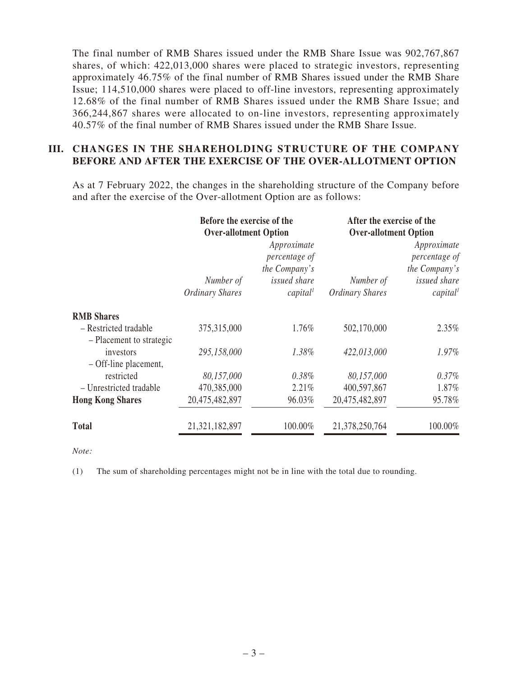The final number of RMB Shares issued under the RMB Share Issue was 902,767,867 shares, of which: 422,013,000 shares were placed to strategic investors, representing approximately 46.75% of the final number of RMB Shares issued under the RMB Share Issue; 114,510,000 shares were placed to off-line investors, representing approximately 12.68% of the final number of RMB Shares issued under the RMB Share Issue; and 366,244,867 shares were allocated to on-line investors, representing approximately 40.57% of the final number of RMB Shares issued under the RMB Share Issue.

#### **III. CHANGES IN THE SHAREHOLDING STRUCTURE OF THE COMPANY BEFORE AND AFTER THE EXERCISE OF THE OVER-ALLOTMENT OPTION**

As at 7 February 2022, the changes in the shareholding structure of the Company before and after the exercise of the Over-allotment Option are as follows:

|                                                   | Before the exercise of the<br><b>Over-allotment Option</b> |                                                                                              | After the exercise of the<br><b>Over-allotment Option</b> |                                                                                       |
|---------------------------------------------------|------------------------------------------------------------|----------------------------------------------------------------------------------------------|-----------------------------------------------------------|---------------------------------------------------------------------------------------|
|                                                   | Number of<br><b>Ordinary Shares</b>                        | Approximate<br>percentage of<br>the Company's<br><i>issued share</i><br>capital <sup>1</sup> | Number of<br><b>Ordinary Shares</b>                       | Approximate<br>percentage of<br>the Company's<br>issued share<br>capital <sup>1</sup> |
| <b>RMB</b> Shares                                 |                                                            |                                                                                              |                                                           |                                                                                       |
| - Restricted tradable<br>- Placement to strategic | 375,315,000                                                | 1.76%                                                                                        | 502,170,000                                               | 2.35%                                                                                 |
| investors<br>- Off-line placement,                | 295,158,000                                                | 1.38%                                                                                        | 422,013,000                                               | 1.97%                                                                                 |
| restricted                                        | 80,157,000                                                 | $0.38\%$                                                                                     | 80,157,000                                                | 0.37%                                                                                 |
| - Unrestricted tradable                           | 470,385,000                                                | 2.21%                                                                                        | 400,597,867                                               | 1.87%                                                                                 |
| <b>Hong Kong Shares</b>                           | 20,475,482,897                                             | 96.03%                                                                                       | 20,475,482,897                                            | 95.78%                                                                                |
| <b>Total</b>                                      | 21,321,182,897                                             | 100.00%                                                                                      | 21,378,250,764                                            | 100.00%                                                                               |

*Note:*

(1) The sum of shareholding percentages might not be in line with the total due to rounding.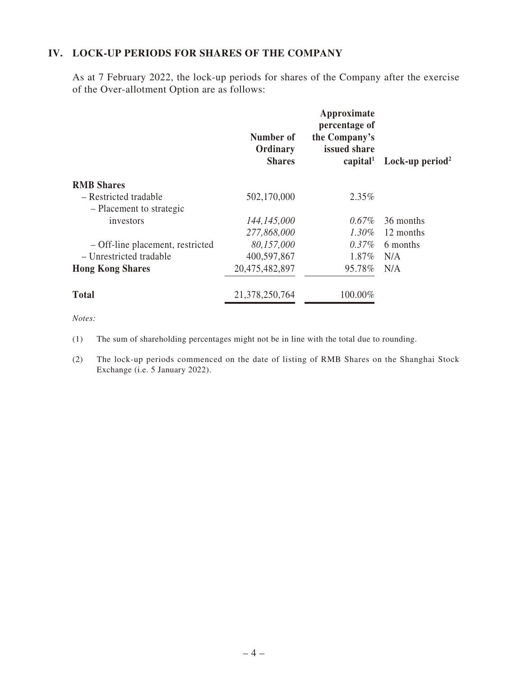# **IV. LOCK-UP PERIODS FOR SHARES OF THE COMPANY**

As at 7 February 2022, the lock-up periods for shares of the Company after the exercise of the Over-allotment Option are as follows:

|                                  | Number of<br>Ordinary<br><b>Shares</b> | Approximate<br>percentage of<br>the Company's<br>issued share<br>capital <sup>1</sup> | Lock-up period <sup>2</sup> |
|----------------------------------|----------------------------------------|---------------------------------------------------------------------------------------|-----------------------------|
| <b>RMB Shares</b>                |                                        |                                                                                       |                             |
| - Restricted tradable            | 502,170,000                            | $2.35\%$                                                                              |                             |
| - Placement to strategic         |                                        |                                                                                       |                             |
| investors                        | 144,145,000                            | $0.67\%$                                                                              | 36 months                   |
|                                  | 277,868,000                            | $1.30\%$                                                                              | 12 months                   |
| - Off-line placement, restricted | 80,157,000                             | $0.37\%$                                                                              | 6 months                    |
| - Unrestricted tradable          | 400,597,867                            | $1.87\%$                                                                              | N/A                         |
| <b>Hong Kong Shares</b>          | 20,475,482,897                         | 95.78%                                                                                | N/A                         |
| <b>Total</b>                     | 21,378,250,764                         | 100.00%                                                                               |                             |

*Notes:*

(1) The sum of shareholding percentages might not be in line with the total due to rounding.

(2) The lock-up periods commenced on the date of listing of RMB Shares on the Shanghai Stock Exchange (i.e. 5 January 2022).